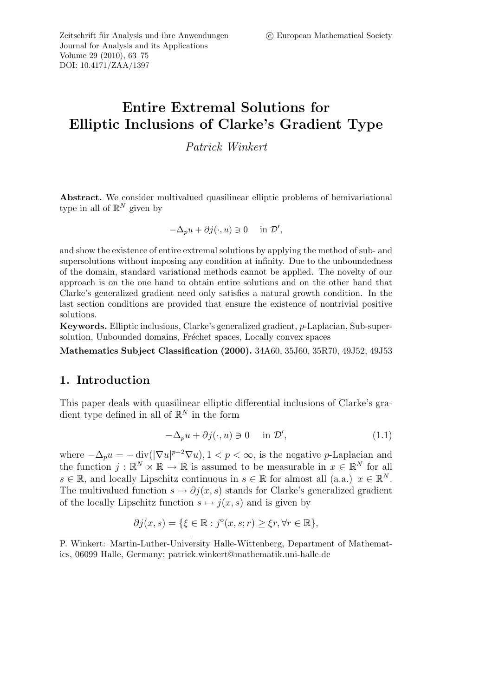Zeitschrift für Analysis und ihre Anwendungen (C) European Mathematical Society Journal for Analysis and its Applications Volume 29 (2010), 63–75 DOI: 10.4171/ZAA/1397

# Entire Extremal Solutions for Elliptic Inclusions of Clarke's Gradient Type

Patrick Winkert

Abstract. We consider multivalued quasilinear elliptic problems of hemivariational type in all of  $\mathbb{R}^N$  given by

$$
-\Delta_p u + \partial j(\cdot, u) \ni 0 \quad \text{in } \mathcal{D}',
$$

and show the existence of entire extremal solutions by applying the method of sub- and supersolutions without imposing any condition at infinity. Due to the unboundedness of the domain, standard variational methods cannot be applied. The novelty of our approach is on the one hand to obtain entire solutions and on the other hand that Clarke's generalized gradient need only satisfies a natural growth condition. In the last section conditions are provided that ensure the existence of nontrivial positive solutions.

Keywords. Elliptic inclusions, Clarke's generalized gradient, p-Laplacian, Sub-supersolution, Unbounded domains, Fréchet spaces, Locally convex spaces

Mathematics Subject Classification (2000). 34A60, 35J60, 35R70, 49J52, 49J53

#### 1. Introduction

This paper deals with quasilinear elliptic differential inclusions of Clarke's gradient type defined in all of  $\mathbb{R}^N$  in the form

$$
-\Delta_p u + \partial j(\cdot, u) \ni 0 \quad \text{in } \mathcal{D}', \tag{1.1}
$$

where  $-\Delta_p u = -\operatorname{div}(|\nabla u|^{p-2} \nabla u)$ ,  $1 < p < \infty$ , is the negative p-Laplacian and the function  $j : \mathbb{R}^N \times \mathbb{R} \to \mathbb{R}$  is assumed to be measurable in  $x \in \mathbb{R}^N$  for all  $s \in \mathbb{R}$ , and locally Lipschitz continuous in  $s \in \mathbb{R}$  for almost all (a.a.)  $x \in \mathbb{R}^N$ . The multivalued function  $s \mapsto \partial j(x, s)$  stands for Clarke's generalized gradient of the locally Lipschitz function  $s \mapsto j(x, s)$  and is given by

$$
\partial j(x, s) = \{ \xi \in \mathbb{R} : j^{\circ}(x, s; r) \geq \xi r, \forall r \in \mathbb{R} \},
$$

P. Winkert: Martin-Luther-University Halle-Wittenberg, Department of Mathematics, 06099 Halle, Germany; patrick.winkert@mathematik.uni-halle.de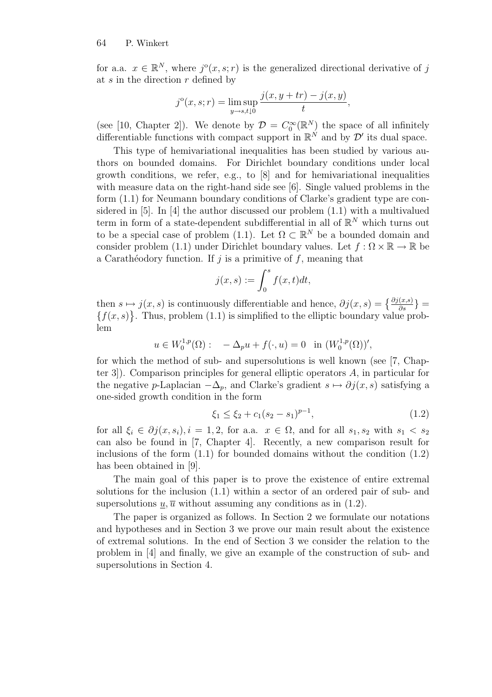for a.a.  $x \in \mathbb{R}^N$ , where  $j^{\circ}(x, s; r)$  is the generalized directional derivative of j at  $s$  in the direction  $r$  defined by

$$
j^{o}(x, s; r) = \limsup_{y \to s, t \downarrow 0} \frac{j(x, y + tr) - j(x, y)}{t},
$$

(see [10, Chapter 2]). We denote by  $\mathcal{D} = C_0^{\infty}(\mathbb{R}^N)$  the space of all infinitely differentiable functions with compact support in  $\mathbb{R}^N$  and by  $\mathcal{D}'$  its dual space.

This type of hemivariational inequalities has been studied by various authors on bounded domains. For Dirichlet boundary conditions under local growth conditions, we refer, e.g., to [8] and for hemivariational inequalities with measure data on the right-hand side see [6]. Single valued problems in the form (1.1) for Neumann boundary conditions of Clarke's gradient type are considered in [5]. In [4] the author discussed our problem (1.1) with a multivalued term in form of a state-dependent subdifferential in all of  $\mathbb{R}^N$  which turns out to be a special case of problem (1.1). Let  $\Omega \subset \mathbb{R}^N$  be a bounded domain and consider problem (1.1) under Dirichlet boundary values. Let  $f : \Omega \times \mathbb{R} \to \mathbb{R}$  be a Carathéodory function. If j is a primitive of f, meaning that

$$
j(x,s) := \int_0^s f(x,t)dt,
$$

then  $s \mapsto j(x, s)$  is continuously differentiable and hence,  $\partial j(x, s) = \left\{\frac{\partial j(x, s)}{\partial s}\right\}$  ${f(x, s)}$ . Thus, problem (1.1) is simplified to the elliptic boundary value problem

$$
u \in W_0^{1,p}(\Omega): -\Delta_p u + f(\cdot, u) = 0
$$
 in  $(W_0^{1,p}(\Omega))'$ ,

for which the method of sub- and supersolutions is well known (see [7, Chapter 3]). Comparison principles for general elliptic operators A, in particular for the negative p-Laplacian  $-\Delta_p$ , and Clarke's gradient  $s \mapsto \partial j(x, s)$  satisfying a one-sided growth condition in the form

$$
\xi_1 \le \xi_2 + c_1(s_2 - s_1)^{p-1},\tag{1.2}
$$

for all  $\xi_i \in \partial j(x, s_i), i = 1, 2$ , for a.a.  $x \in \Omega$ , and for all  $s_1, s_2$  with  $s_1 < s_2$ can also be found in [7, Chapter 4]. Recently, a new comparison result for inclusions of the form  $(1.1)$  for bounded domains without the condition  $(1.2)$ has been obtained in [9].

The main goal of this paper is to prove the existence of entire extremal solutions for the inclusion (1.1) within a sector of an ordered pair of sub- and supersolutions  $u, \overline{u}$  without assuming any conditions as in (1.2).

The paper is organized as follows. In Section 2 we formulate our notations and hypotheses and in Section 3 we prove our main result about the existence of extremal solutions. In the end of Section 3 we consider the relation to the problem in [4] and finally, we give an example of the construction of sub- and supersolutions in Section 4.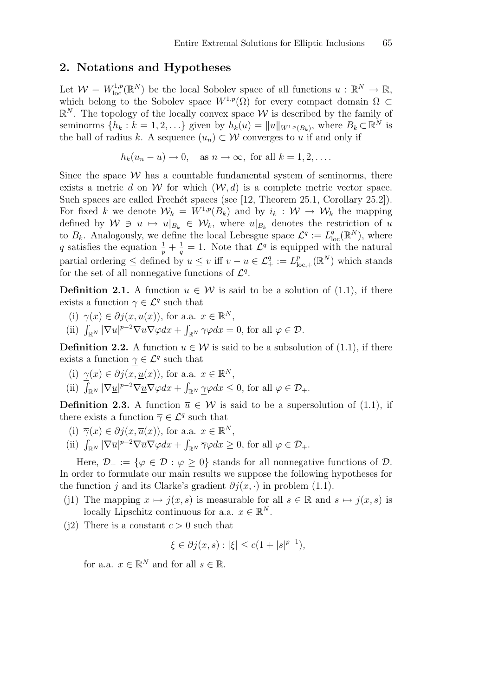### 2. Notations and Hypotheses

Let  $W = W^{1,p}_{loc}(\mathbb{R}^N)$  be the local Sobolev space of all functions  $u : \mathbb{R}^N \to \mathbb{R}$ , which belong to the Sobolev space  $W^{1,p}(\Omega)$  for every compact domain  $\Omega \subset$  $\mathbb{R}^N$ . The topology of the locally convex space W is described by the family of seminorms  $\{h_k : k = 1, 2, \ldots\}$  given by  $h_k(u) = ||u||_{W^{1,p}(B_k)}$ , where  $B_k \subset \mathbb{R}^N$  is the ball of radius k. A sequence  $(u_n) \subset \mathcal{W}$  converges to u if and only if

$$
h_k(u_n - u) \to 0
$$
, as  $n \to \infty$ , for all  $k = 1, 2, \ldots$ .

Since the space  $W$  has a countable fundamental system of seminorms, there exists a metric d on W for which  $(W, d)$  is a complete metric vector space. Such spaces are called Frechét spaces (see [12, Theorem 25.1, Corollary 25.2]). For fixed k we denote  $\mathcal{W}_k = W^{1,p}(B_k)$  and by  $i_k : \mathcal{W} \to \mathcal{W}_k$  the mapping defined by  $W \ni u \mapsto u|_{B_k} \in W_k$ , where  $u|_{B_k}$  denotes the restriction of u to  $B_k$ . Analogously, we define the local Lebesgue space  $\mathcal{L}^q := L^q_{loc}(\mathbb{R}^N)$ , where q satisfies the equation  $\frac{1}{p} + \frac{1}{q}$  $\frac{1}{q} = 1$ . Note that  $\mathcal{L}^q$  is equipped with the natural partial ordering  $\leq$  defined by  $u \leq v$  iff  $v - u \in \mathcal{L}_{+}^{q} := L_{\mathrm{loc}}^{p}$  $P_{\text{loc},+}(\mathbb{R}^N)$  which stands for the set of all nonnegative functions of  $\mathcal{L}^q$ .

**Definition 2.1.** A function  $u \in \mathcal{W}$  is said to be a solution of (1.1), if there exists a function  $\gamma \in \mathcal{L}^q$  such that

- (i)  $\gamma(x) \in \partial j(x, u(x))$ , for a.a.  $x \in \mathbb{R}^N$ ,
- (ii)  $\int_{\mathbb{R}^N} |\nabla u|^{p-2} \nabla u \nabla \varphi dx + \int_{\mathbb{R}^N} \gamma \varphi dx = 0$ , for all  $\varphi \in \mathcal{D}$ .

**Definition 2.2.** A function  $\underline{u} \in \mathcal{W}$  is said to be a subsolution of (1.1), if there exists a function  $\gamma \in \mathcal{L}^q$  such that

- (i)  $\gamma(x) \in \partial j(x, \underline{u}(x))$ , for a.a.  $x \in \mathbb{R}^N$ ,
- (ii)  $\int_{\mathbb{R}^N} |\nabla \underline{u}|^{p-2} \nabla \underline{u} \nabla \varphi dx + \int_{\mathbb{R}^N} \underline{\gamma} \varphi dx \leq 0$ , for all  $\varphi \in \mathcal{D}_+$ .

**Definition 2.3.** A function  $\overline{u} \in \mathcal{W}$  is said to be a supersolution of (1.1), if there exists a function  $\overline{\gamma} \in \mathcal{L}^q$  such that

- (i)  $\overline{\gamma}(x) \in \partial j(x, \overline{u}(x))$ , for a.a.  $x \in \mathbb{R}^N$ ,
- (ii)  $\int_{\mathbb{R}^N} |\nabla \overline{u}|^{p-2} \nabla \overline{u} \nabla \varphi dx + \int_{\mathbb{R}^N} \overline{\gamma} \varphi dx \geq 0$ , for all  $\varphi \in \mathcal{D}_+$ .

Here,  $\mathcal{D}_+ := \{ \varphi \in \mathcal{D} : \varphi \geq 0 \}$  stands for all nonnegative functions of  $\mathcal{D}$ . In order to formulate our main results we suppose the following hypotheses for the function j and its Clarke's gradient  $\partial j(x, \cdot)$  in problem (1.1).

- (j1) The mapping  $x \mapsto j(x,s)$  is measurable for all  $s \in \mathbb{R}$  and  $s \mapsto j(x,s)$  is locally Lipschitz continuous for a.a.  $x \in \mathbb{R}^N$ .
- (i2) There is a constant  $c > 0$  such that

$$
\xi \in \partial j(x, s) : |\xi| \le c(1 + |s|^{p-1}),
$$

for a.a.  $x \in \mathbb{R}^N$  and for all  $s \in \mathbb{R}$ .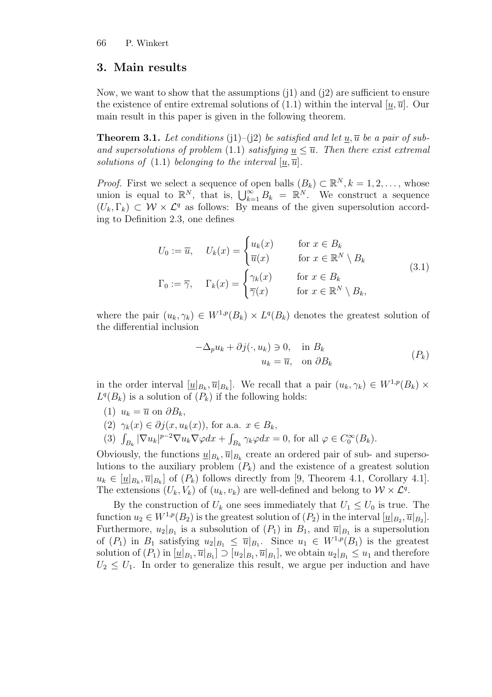### 3. Main results

Now, we want to show that the assumptions  $(i)$  and  $(i)$  are sufficient to ensure the existence of entire extremal solutions of  $(1.1)$  within the interval  $[u, \overline{u}]$ . Our main result in this paper is given in the following theorem.

**Theorem 3.1.** Let conditions (j1)–(j2) be satisfied and let  $\underline{u}, \overline{u}$  be a pair of suband supersolutions of problem (1.1) satisfying  $u \leq \overline{u}$ . Then there exist extremal solutions of (1.1) belonging to the interval  $[u, \overline{u}]$ .

*Proof.* First we select a sequence of open balls  $(B_k) \subset \mathbb{R}^N, k = 1, 2, \ldots$ , whose union is equal to  $\mathbb{R}^N$ , that is,  $\bigcup_{k=1}^{\infty} B_k = \mathbb{R}^N$ . We construct a sequence  $(U_k, \Gamma_k) \subset \mathcal{W} \times \mathcal{L}^q$  as follows: By means of the given supersolution according to Definition 2.3, one defines

$$
U_0 := \overline{u}, \quad U_k(x) = \begin{cases} u_k(x) & \text{for } x \in B_k \\ \overline{u}(x) & \text{for } x \in \mathbb{R}^N \setminus B_k \end{cases}
$$
  

$$
\Gamma_0 := \overline{\gamma}, \quad \Gamma_k(x) = \begin{cases} \gamma_k(x) & \text{for } x \in B_k \\ \overline{\gamma}(x) & \text{for } x \in \mathbb{R}^N \setminus B_k, \end{cases}
$$
  
(3.1)

where the pair  $(u_k, \gamma_k) \in W^{1,p}(B_k) \times L^q(B_k)$  denotes the greatest solution of the differential inclusion

$$
-\Delta_p u_k + \partial j(\cdot, u_k) \ni 0, \quad \text{in } B_k
$$
  

$$
u_k = \overline{u}, \quad \text{on } \partial B_k
$$
 (P<sub>k</sub>)

in the order interval  $[\underline{u}|_{B_k}, \overline{u}|_{B_k}]$ . We recall that a pair  $(u_k, \gamma_k) \in W^{1,p}(B_k) \times$  $L^q(B_k)$  is a solution of  $(P_k)$  if the following holds:

- (1)  $u_k = \overline{u}$  on  $\partial B_k$ ,
- (2)  $\gamma_k(x) \in \partial j(x, u_k(x))$ , for a.a.  $x \in B_k$ ,
- (3)  $\int_{B_k} |\nabla u_k|^{p-2} \nabla u_k \nabla \varphi dx + \int_{B_k} \gamma_k \varphi dx = 0$ , for all  $\varphi \in C_0^{\infty}(B_k)$ .

Obviously, the functions  $\underline{u}|_{B_k}$ ,  $\overline{u}|_{B_k}$  create an ordered pair of sub- and supersolutions to the auxiliary problem  $(P_k)$  and the existence of a greatest solution  $u_k \in [\underline{u}|_{B_k}, \overline{u}|_{B_k}]$  of  $(P_k)$  follows directly from [9, Theorem 4.1, Corollary 4.1]. The extensions  $(U_k, V_k)$  of  $(u_k, v_k)$  are well-defined and belong to  $W \times \mathcal{L}^q$ .

By the construction of  $U_k$  one sees immediately that  $U_1 \leq U_0$  is true. The function  $u_2 \in W^{1,p}(B_2)$  is the greatest solution of  $(P_2)$  in the interval  $[\underline{u}|_{B_2}, \overline{u}|_{B_2}]$ . Furthermore,  $u_2|_{B_1}$  is a subsolution of  $(P_1)$  in  $B_1$ , and  $\overline{u}|_{B_1}$  is a supersolution of  $(P_1)$  in  $B_1$  satisfying  $u_2|_{B_1} \leq \overline{u}|_{B_1}$ . Since  $u_1 \in W^{1,p}(B_1)$  is the greatest solution of  $(P_1)$  in  $[\underline{u}|_{B_1}, \overline{u}|_{B_1}] \supset [u_2|_{B_1}, \overline{u}|_{B_1}]$ , we obtain  $u_2|_{B_1} \leq u_1$  and therefore  $U_2 \leq U_1$ . In order to generalize this result, we argue per induction and have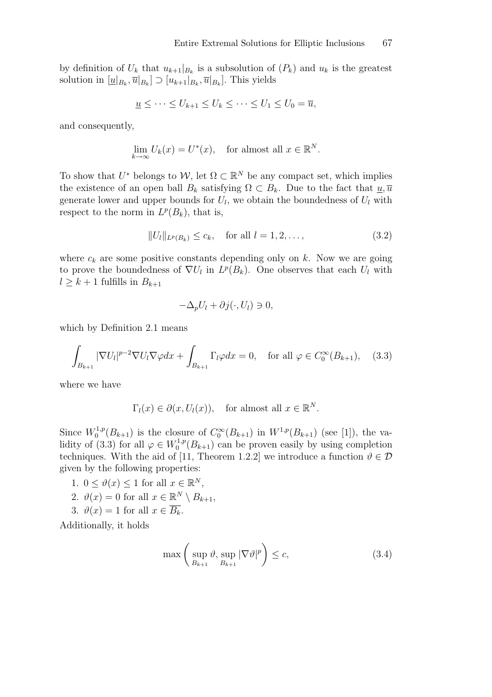by definition of  $U_k$  that  $u_{k+1}|_{B_k}$  is a subsolution of  $(P_k)$  and  $u_k$  is the greatest solution in  $[\underline{u}|_{B_k}, \overline{u}|_{B_k}] \supset [u_{k+1}|_{B_k}, \overline{u}|_{B_k}]$ . This yields

$$
\underline{u} \leq \cdots \leq U_{k+1} \leq U_k \leq \cdots \leq U_1 \leq U_0 = \overline{u},
$$

and consequently,

$$
\lim_{k \to \infty} U_k(x) = U^*(x), \quad \text{for almost all } x \in \mathbb{R}^N.
$$

To show that  $U^*$  belongs to  $W$ , let  $\Omega \subset \mathbb{R}^N$  be any compact set, which implies the existence of an open ball  $B_k$  satisfying  $\Omega \subset B_k$ . Due to the fact that  $\underline{u}, \overline{u}$ generate lower and upper bounds for  $U_l$ , we obtain the boundedness of  $U_l$  with respect to the norm in  $L^p(B_k)$ , that is,

$$
||U_l||_{L^p(B_k)} \le c_k, \quad \text{for all } l = 1, 2, \dots,
$$
\n(3.2)

where  $c_k$  are some positive constants depending only on k. Now we are going to prove the boundedness of  $\nabla U_l$  in  $L^p(B_k)$ . One observes that each  $U_l$  with  $l \geq k+1$  fulfills in  $B_{k+1}$ 

$$
-\Delta_p U_l + \partial j(\cdot, U_l) \ni 0,
$$

which by Definition 2.1 means

$$
\int_{B_{k+1}} |\nabla U_l|^{p-2} \nabla U_l \nabla \varphi dx + \int_{B_{k+1}} \Gamma_l \varphi dx = 0, \quad \text{for all } \varphi \in C_0^{\infty}(B_{k+1}), \quad (3.3)
$$

where we have

$$
\Gamma_l(x) \in \partial(x, U_l(x)),
$$
 for almost all  $x \in \mathbb{R}^N$ .

Since  $W_0^{1,p}$  $C_0^{1,p}(B_{k+1})$  is the closure of  $C_0^{\infty}(B_{k+1})$  in  $W^{1,p}(B_{k+1})$  (see [1]), the validity of (3.3) for all  $\varphi \in W_0^{1,p}$  $0^{(1,p)}(B_{k+1})$  can be proven easily by using completion techniques. With the aid of [11, Theorem 1.2.2] we introduce a function  $\vartheta \in \mathcal{D}$ given by the following properties:

1.  $0 \leq \vartheta(x) \leq 1$  for all  $x \in \mathbb{R}^N$ , 2.  $\vartheta(x) = 0$  for all  $x \in \mathbb{R}^N \setminus B_{k+1}$ , 3.  $\vartheta(x) = 1$  for all  $x \in \overline{B_k}$ .

Additionally, it holds

$$
\max\left(\sup_{B_{k+1}} \vartheta, \sup_{B_{k+1}} |\nabla \vartheta|^p\right) \le c,\tag{3.4}
$$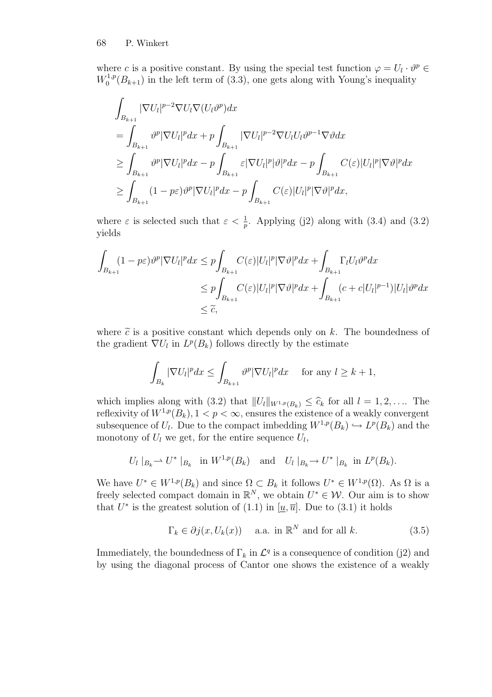where c is a positive constant. By using the special test function  $\varphi = U_l \cdot \vartheta^p \in$  $W_0^{1,p}$  $\int_0^{1,p}(B_{k+1})$  in the left term of (3.3), one gets along with Young's inequality

$$
\int_{B_{k+1}} |\nabla U_l|^{p-2} \nabla U_l \nabla (U_l \vartheta^p) dx
$$
\n
$$
= \int_{B_{k+1}} \vartheta^p |\nabla U_l|^p dx + p \int_{B_{k+1}} |\nabla U_l|^{p-2} \nabla U_l U_l \vartheta^{p-1} \nabla \vartheta dx
$$
\n
$$
\geq \int_{B_{k+1}} \vartheta^p |\nabla U_l|^p dx - p \int_{B_{k+1}} \varepsilon |\nabla U_l|^p |\vartheta|^p dx - p \int_{B_{k+1}} C(\varepsilon) |U_l|^p |\nabla \vartheta|^p dx
$$
\n
$$
\geq \int_{B_{k+1}} (1 - p\varepsilon) \vartheta^p |\nabla U_l|^p dx - p \int_{B_{k+1}} C(\varepsilon) |U_l|^p |\nabla \vartheta|^p dx,
$$

where  $\varepsilon$  is selected such that  $\varepsilon < \frac{1}{p}$ . Applying (j2) along with (3.4) and (3.2) yields

$$
\int_{B_{k+1}} (1 - p\varepsilon) \vartheta^p |\nabla U_l|^p dx \leq p \int_{B_{k+1}} C(\varepsilon) |U_l|^p |\nabla \vartheta|^p dx + \int_{B_{k+1}} \Gamma_l U_l \vartheta^p dx
$$
  
\n
$$
\leq p \int_{B_{k+1}} C(\varepsilon) |U_l|^p |\nabla \vartheta|^p dx + \int_{B_{k+1}} (c + c |U_l|^{p-1}) |U_l| \vartheta^p dx
$$
  
\n
$$
\leq \widetilde{c},
$$

where  $\tilde{c}$  is a positive constant which depends only on k. The boundedness of the gradient  $\nabla U_l$  in  $L^p(B_k)$  follows directly by the estimate

$$
\int_{B_k} |\nabla U_l|^p dx \le \int_{B_{k+1}} \vartheta^p |\nabla U_l|^p dx \quad \text{ for any } l \ge k+1,
$$

which implies along with (3.2) that  $||U_l||_{W^{1,p}(B_k)} \leq \hat{c}_k$  for all  $l = 1, 2, \ldots$  The reflexivity of  $W^{1,p}(B_k)$ ,  $1 < p < \infty$ , ensures the existence of a weakly convergent subsequence of  $U_l$ . Due to the compact imbedding  $W^{1,p}(B_k) \hookrightarrow L^p(B_k)$  and the monotony of  $U_l$  we get, for the entire sequence  $U_l$ ,

$$
U_l|_{B_k} \rightharpoonup U^*|_{B_k}
$$
 in  $W^{1,p}(B_k)$  and  $U_l|_{B_k} \rightharpoonup U^*|_{B_k}$  in  $L^p(B_k)$ .

We have  $U^* \in W^{1,p}(B_k)$  and since  $\Omega \subset B_k$  it follows  $U^* \in W^{1,p}(\Omega)$ . As  $\Omega$  is a freely selected compact domain in  $\mathbb{R}^N$ , we obtain  $U^* \in \mathcal{W}$ . Our aim is to show that  $U^*$  is the greatest solution of (1.1) in [ $\underline{u}, \overline{u}$ ]. Due to (3.1) it holds

$$
\Gamma_k \in \partial j(x, U_k(x)) \quad \text{a.a. in } \mathbb{R}^N \text{ and for all } k. \tag{3.5}
$$

Immediately, the boundedness of  $\Gamma_k$  in  $\mathcal{L}^q$  is a consequence of condition (j2) and by using the diagonal process of Cantor one shows the existence of a weakly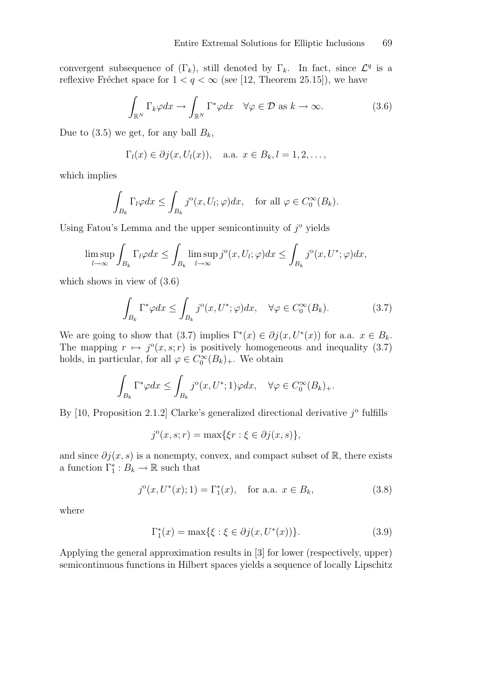convergent subsequence of  $(\Gamma_k)$ , still denoted by  $\Gamma_k$ . In fact, since  $\mathcal{L}^q$  is a reflexive Fréchet space for  $1 < q < \infty$  (see [12, Theorem 25.15]), we have

$$
\int_{\mathbb{R}^N} \Gamma_k \varphi dx \to \int_{\mathbb{R}^N} \Gamma^* \varphi dx \quad \forall \varphi \in \mathcal{D} \text{ as } k \to \infty. \tag{3.6}
$$

Due to (3.5) we get, for any ball  $B_k$ ,

$$
\Gamma_l(x) \in \partial j(x, U_l(x)),
$$
 a.a.  $x \in B_k, l = 1, 2, \ldots,$ 

which implies

$$
\int_{B_k} \Gamma_l \varphi dx \le \int_{B_k} j^{\circ}(x, U_l; \varphi) dx, \quad \text{for all } \varphi \in C_0^{\infty}(B_k).
$$

Using Fatou's Lemma and the upper semicontinuity of  $j^{\circ}$  yields

$$
\limsup_{l\to\infty}\int_{B_k}\Gamma_l\varphi dx\leq \int_{B_k}\limsup_{l\to\infty}j^{\circ}(x,U_l;\varphi)dx\leq \int_{B_k}j^{\circ}(x,U^*;\varphi)dx,
$$

which shows in view of (3.6)

$$
\int_{B_k} \Gamma^* \varphi dx \le \int_{B_k} j^{\circ}(x, U^*; \varphi) dx, \quad \forall \varphi \in C_0^{\infty}(B_k). \tag{3.7}
$$

We are going to show that (3.7) implies  $\Gamma^*(x) \in \partial j(x, U^*(x))$  for a.a.  $x \in B_k$ . The mapping  $r \mapsto j^{\circ}(x, s; r)$  is positively homogeneous and inequality (3.7) holds, in particular, for all  $\varphi \in C_0^{\infty}(B_k)_{+}$ . We obtain

$$
\int_{B_k} \Gamma^* \varphi dx \le \int_{B_k} j^{\circ}(x, U^*; 1) \varphi dx, \quad \forall \varphi \in C_0^{\infty}(B_k)_+.
$$

By  $[10,$  Proposition 2.1.2 Clarke's generalized directional derivative  $j^{\circ}$  fulfills

$$
j^{\mathrm{o}}(x,s;r) = \max\{\xi r : \xi \in \partial j(x,s)\},\
$$

and since  $\partial j(x,s)$  is a nonempty, convex, and compact subset of R, there exists a function  $\Gamma_1^* : B_k \to \mathbb{R}$  such that

$$
j^{o}(x, U^{*}(x); 1) = \Gamma_{1}^{*}(x), \quad \text{for a.a. } x \in B_{k},
$$
\n(3.8)

where

$$
\Gamma_1^*(x) = \max\{\xi : \xi \in \partial j(x, U^*(x))\}.
$$
\n(3.9)

Applying the general approximation results in [3] for lower (respectively, upper) semicontinuous functions in Hilbert spaces yields a sequence of locally Lipschitz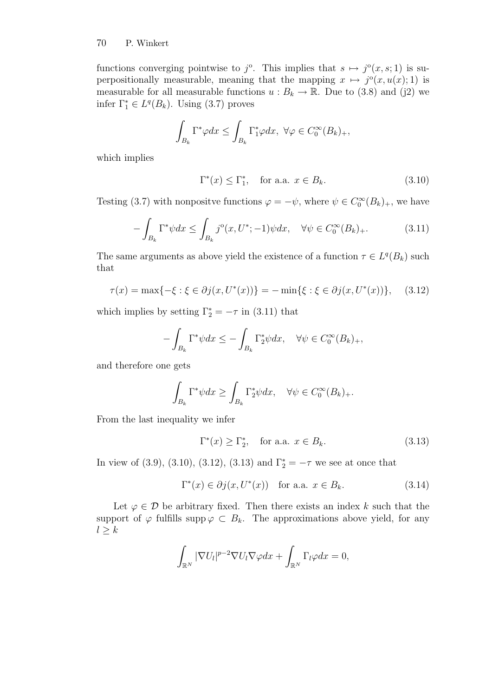functions converging pointwise to  $j^{\circ}$ . This implies that  $s \mapsto j^{\circ}(x, s; 1)$  is superpositionally measurable, meaning that the mapping  $x \mapsto j^{\circ}(x, u(x); 1)$  is measurable for all measurable functions  $u : B_k \to \mathbb{R}$ . Due to (3.8) and (j2) we infer  $\Gamma_1^* \in L^q(B_k)$ . Using (3.7) proves

$$
\int_{B_k} \Gamma^* \varphi dx \le \int_{B_k} \Gamma_1^* \varphi dx, \ \forall \varphi \in C_0^{\infty}(B_k)_+,
$$

which implies

$$
\Gamma^*(x) \le \Gamma_1^*, \quad \text{for a.a. } x \in B_k. \tag{3.10}
$$

Testing (3.7) with nonpositve functions  $\varphi = -\psi$ , where  $\psi \in C_0^{\infty}(B_k)_{+}$ , we have

$$
-\int_{B_k} \Gamma^* \psi dx \le \int_{B_k} j^{\circ}(x, U^*; -1)\psi dx, \quad \forall \psi \in C_0^{\infty}(B_k)_+.
$$
 (3.11)

The same arguments as above yield the existence of a function  $\tau \in L^q(B_k)$  such that

$$
\tau(x) = \max\{-\xi : \xi \in \partial j(x, U^*(x))\} = -\min\{\xi : \xi \in \partial j(x, U^*(x))\},\tag{3.12}
$$

which implies by setting  $\Gamma_2^* = -\tau$  in (3.11) that

$$
-\int_{B_k} \Gamma^* \psi dx \le -\int_{B_k} \Gamma_2^* \psi dx, \quad \forall \psi \in C_0^{\infty}(B_k)_+,
$$

and therefore one gets

$$
\int_{B_k} \Gamma^* \psi dx \ge \int_{B_k} \Gamma_2^* \psi dx, \quad \forall \psi \in C_0^{\infty}(B_k)_+.
$$

From the last inequality we infer

$$
\Gamma^*(x) \ge \Gamma_2^*, \quad \text{for a.a. } x \in B_k. \tag{3.13}
$$

In view of (3.9), (3.10), (3.12), (3.13) and  $\Gamma_2^* = -\tau$  we see at once that

$$
\Gamma^*(x) \in \partial j(x, U^*(x)) \quad \text{for a.a. } x \in B_k. \tag{3.14}
$$

Let  $\varphi \in \mathcal{D}$  be arbitrary fixed. Then there exists an index k such that the support of  $\varphi$  fulfills supp $\varphi \subset B_k$ . The approximations above yield, for any  $l \geq k$ 

$$
\int_{\mathbb{R}^N} |\nabla U_l|^{p-2} \nabla U_l \nabla \varphi dx + \int_{\mathbb{R}^N} \Gamma_l \varphi dx = 0,
$$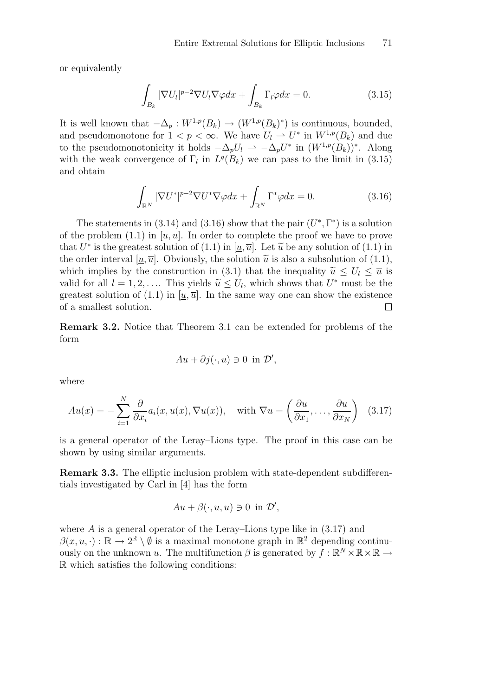or equivalently

$$
\int_{B_k} |\nabla U_l|^{p-2} \nabla U_l \nabla \varphi dx + \int_{B_k} \Gamma_l \varphi dx = 0.
$$
\n(3.15)

It is well known that  $-\Delta_p: W^{1,p}(B_k) \to (W^{1,p}(B_k)^*)$  is continuous, bounded, and pseudomonotone for  $1 < p < \infty$ . We have  $U_l \rightharpoonup U^*$  in  $W^{1,p}(B_k)$  and due to the pseudomonotonicity it holds  $-\Delta_p U_l \rightharpoonup -\Delta_p U^*$  in  $(W^{1,p}(B_k))^*$ . Along with the weak convergence of  $\Gamma_l$  in  $L^q(B_k)$  we can pass to the limit in (3.15) and obtain

$$
\int_{\mathbb{R}^N} |\nabla U^*|^{p-2} \nabla U^* \nabla \varphi dx + \int_{\mathbb{R}^N} \Gamma^* \varphi dx = 0.
$$
\n(3.16)

The statements in (3.14) and (3.16) show that the pair  $(U^*, \Gamma^*)$  is a solution of the problem (1.1) in  $[u, \overline{u}]$ . In order to complete the proof we have to prove that  $U^*$  is the greatest solution of  $(1.1)$  in  $[\underline{u}, \overline{u}]$ . Let  $\widetilde{u}$  be any solution of  $(1.1)$  in the order interval  $[u, \overline{u}]$ . Obviously, the solution  $\tilde{u}$  is also a subsolution of (1.1), which implies by the construction in (3.1) that the inequality  $\tilde{u} \leq U_l \leq \overline{u}$  is valid for all  $l = 1, 2, \ldots$  This yields  $\widetilde{u} \leq U_l$ , which shows that  $U^*$  must be the greatest solution of  $(1.1)$  in  $[u, \overline{u}]$ . In the same way one can show the existence of a smallest solution.  $\Box$ 

Remark 3.2. Notice that Theorem 3.1 can be extended for problems of the form

$$
Au + \partial j(\cdot, u) \ni 0 \text{ in } \mathcal{D}',
$$

where

$$
Au(x) = -\sum_{i=1}^{N} \frac{\partial}{\partial x_i} a_i(x, u(x), \nabla u(x)), \quad \text{with } \nabla u = \left(\frac{\partial u}{\partial x_1}, \dots, \frac{\partial u}{\partial x_N}\right) \tag{3.17}
$$

is a general operator of the Leray–Lions type. The proof in this case can be shown by using similar arguments.

Remark 3.3. The elliptic inclusion problem with state-dependent subdifferentials investigated by Carl in [4] has the form

$$
Au + \beta(\cdot, u, u) \ni 0 \text{ in } \mathcal{D}',
$$

where  $A$  is a general operator of the Leray–Lions type like in  $(3.17)$  and  $\beta(x, u, \cdot) : \mathbb{R} \to 2^{\mathbb{R}} \setminus \emptyset$  is a maximal monotone graph in  $\mathbb{R}^2$  depending continuously on the unknown u. The multifunction  $\beta$  is generated by  $f : \mathbb{R}^N \times \mathbb{R} \times \mathbb{R} \to$ R which satisfies the following conditions: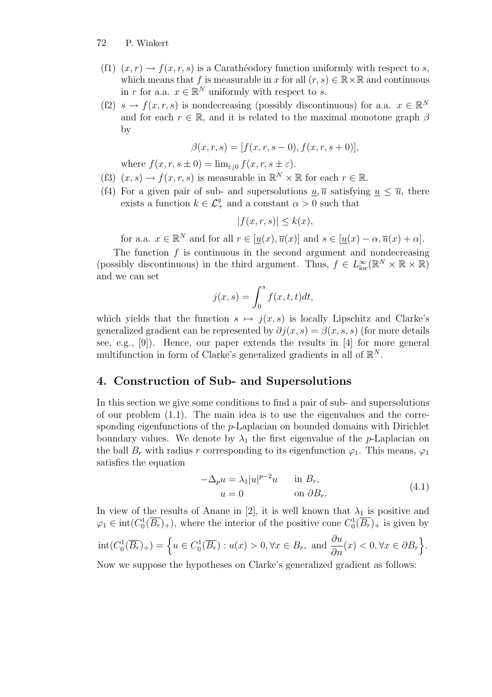- (f1)  $(x, r) \rightarrow f(x, r, s)$  is a Carathéodory function uniformly with respect to s, which means that f is measurable in x for all  $(r, s) \in \mathbb{R} \times \mathbb{R}$  and continuous in r for a.a.  $x \in \mathbb{R}^N$  uniformly with respect to s.
- (f2)  $s \to f(x,r,s)$  is nondecreasing (possibly discontinuous) for a.a.  $x \in \mathbb{R}^N$ and for each  $r \in \mathbb{R}$ , and it is related to the maximal monotone graph  $\beta$ by

$$
\beta(x, r, s) = [f(x, r, s - 0), f(x, r, s + 0)],
$$

where  $f(x, r, s \pm 0) = \lim_{\varepsilon \to 0} f(x, r, s \pm \varepsilon)$ .

- (f3)  $(x, s) \to f(x, r, s)$  is measurable in  $\mathbb{R}^N \times \mathbb{R}$  for each  $r \in \mathbb{R}$ .
- (f4) For a given pair of sub- and supersolutions  $u, \overline{u}$  satisfying  $u \leq \overline{u}$ , there exists a function  $k \in \mathcal{L}_+^q$  and a constant  $\alpha > 0$  such that

$$
|f(x,r,s)| \le k(x),
$$

for a.a.  $x \in \mathbb{R}^N$  and for all  $r \in [\underline{u}(x), \overline{u}(x)]$  and  $s \in [\underline{u}(x) - \alpha, \overline{u}(x) + \alpha]$ .

The function  $f$  is continuous in the second argument and nondecreasing (possibly discontinuous) in the third argument. Thus,  $f \in L^{\infty}_{loc}(\mathbb{R}^N \times \mathbb{R} \times \mathbb{R})$ and we can set

$$
j(x,s) = \int_0^s f(x,t,t)dt,
$$

which yields that the function  $s \mapsto j(x, s)$  is locally Lipschitz and Clarke's generalized gradient can be represented by  $\partial i(x,s) = \beta(x,s,s)$  (for more details see, e.g., [9]). Hence, our paper extends the results in [4] for more general multifunction in form of Clarke's generalized gradients in all of  $\mathbb{R}^N$ .

## 4. Construction of Sub- and Supersolutions

In this section we give some conditions to find a pair of sub- and supersolutions of our problem (1.1). The main idea is to use the eigenvalues and the corresponding eigenfunctions of the p-Laplacian on bounded domains with Dirichlet boundary values. We denote by  $\lambda_1$  the first eigenvalue of the *p*-Laplacian on the ball  $B_r$  with radius r corresponding to its eigenfunction  $\varphi_1$ . This means,  $\varphi_1$ satisfies the equation

$$
-\Delta_p u = \lambda_1 |u|^{p-2}u \quad \text{in } B_r,
$$
  
 
$$
u = 0 \quad \text{on } \partial B_r.
$$
 (4.1)

In view of the results of Anane in [2], it is well known that  $\lambda_1$  is positive and  $\varphi_1 \in \text{int}(C_0^1(\overline{B_r})_+)$ , where the interior of the positive cone  $C_0^1(\overline{B_r})_+$  is given by  $\text{int}(C_0^1(\overline{B_r})_+) = \left\{ u \in C_0^1(\overline{B_r}) : u(x) > 0, \forall x \in B_r, \text{ and } \frac{\partial u}{\partial n}(x) < 0, \forall x \in \partial B_r \right\}.$ 

Now we suppose the hypotheses on Clarke's generalized gradient as follows: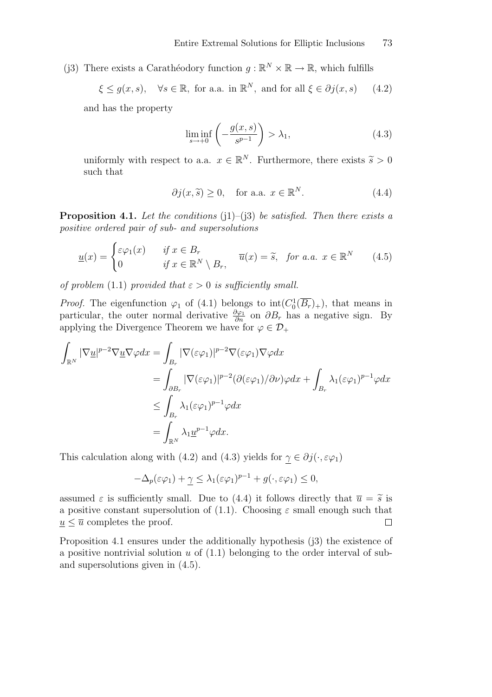(j3) There exists a Carathéodory function  $g : \mathbb{R}^N \times \mathbb{R} \to \mathbb{R}$ , which fulfills

$$
\xi \le g(x, s), \quad \forall s \in \mathbb{R}, \text{ for a.a. in } \mathbb{R}^N, \text{ and for all } \xi \in \partial j(x, s)
$$
 (4.2)

and has the property

$$
\liminf_{s \to +0} \left( -\frac{g(x,s)}{s^{p-1}} \right) > \lambda_1,\tag{4.3}
$$

uniformly with respect to a.a.  $x \in \mathbb{R}^N$ . Furthermore, there exists  $\tilde{s} > 0$ such that

$$
\partial j(x,\tilde{s}) \ge 0, \quad \text{for a.a. } x \in \mathbb{R}^N. \tag{4.4}
$$

**Proposition 4.1.** Let the conditions (j1)–(j3) be satisfied. Then there exists a positive ordered pair of sub- and supersolutions

$$
\underline{u}(x) = \begin{cases} \varepsilon \varphi_1(x) & \text{if } x \in B_r \\ 0 & \text{if } x \in \mathbb{R}^N \setminus B_r, \end{cases} \quad \overline{u}(x) = \widetilde{s}, \quad \text{for a.a. } x \in \mathbb{R}^N \tag{4.5}
$$

of problem (1.1) provided that  $\varepsilon > 0$  is sufficiently small.

*Proof.* The eigenfunction  $\varphi_1$  of (4.1) belongs to  $int(C_0^1(\overline{B_r})_+)$ , that means in particular, the outer normal derivative  $\frac{\partial \varphi_1}{\partial n}$  on  $\partial B_r$  has a negative sign. By applying the Divergence Theorem we have for  $\varphi \in \mathcal{D}_+$ 

$$
\int_{\mathbb{R}^N} |\nabla \underline{u}|^{p-2} \nabla \underline{u} \nabla \varphi dx = \int_{B_r} |\nabla (\varepsilon \varphi_1)|^{p-2} \nabla (\varepsilon \varphi_1) \nabla \varphi dx
$$
\n
$$
= \int_{\partial B_r} |\nabla (\varepsilon \varphi_1)|^{p-2} (\partial (\varepsilon \varphi_1)/\partial \nu) \varphi dx + \int_{B_r} \lambda_1 (\varepsilon \varphi_1)^{p-1} \varphi dx
$$
\n
$$
\leq \int_{B_r} \lambda_1 (\varepsilon \varphi_1)^{p-1} \varphi dx
$$
\n
$$
= \int_{\mathbb{R}^N} \lambda_1 \underline{u}^{p-1} \varphi dx.
$$

This calculation along with (4.2) and (4.3) yields for  $\gamma \in \partial j(\cdot, \varepsilon \varphi_1)$ 

$$
-\Delta_p(\varepsilon\varphi_1) + \underline{\gamma} \leq \lambda_1(\varepsilon\varphi_1)^{p-1} + g(\cdot, \varepsilon\varphi_1) \leq 0,
$$

assumed  $\varepsilon$  is sufficiently small. Due to (4.4) it follows directly that  $\overline{u} = \widetilde{s}$  is a positive constant supersolution of (1.1). Choosing  $\varepsilon$  small enough such that  $u \leq \overline{u}$  completes the proof.  $\Box$ 

Proposition 4.1 ensures under the additionally hypothesis (j3) the existence of a positive nontrivial solution  $u$  of  $(1.1)$  belonging to the order interval of suband supersolutions given in (4.5).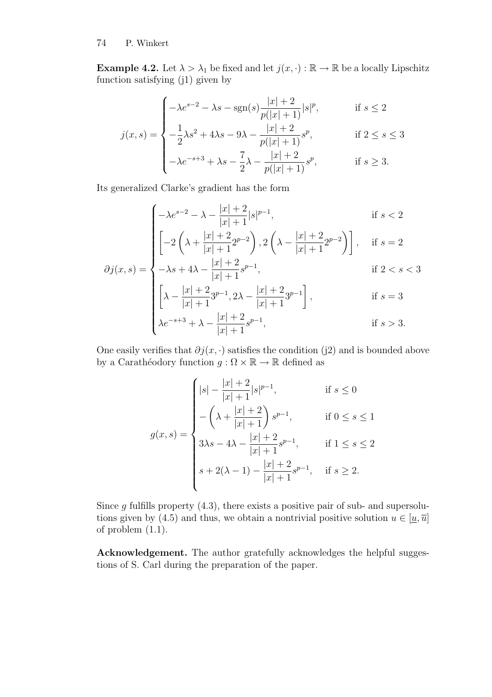**Example 4.2.** Let  $\lambda > \lambda_1$  be fixed and let  $j(x, \cdot) : \mathbb{R} \to \mathbb{R}$  be a locally Lipschitz function satisfying (j1) given by

$$
j(x,s) = \begin{cases}\n-\lambda e^{s-2} - \lambda s - \text{sgn}(s) \frac{|x|+2}{p(|x|+1)} |s|^p, & \text{if } s \le 2 \\
-\frac{1}{2} \lambda s^2 + 4\lambda s - 9\lambda - \frac{|x|+2}{p(|x|+1)} s^p, & \text{if } 2 \le s \le 3 \\
-\lambda e^{-s+3} + \lambda s - \frac{7}{2}\lambda - \frac{|x|+2}{p(|x|+1)} s^p, & \text{if } s \ge 3.\n\end{cases}
$$

Its generalized Clarke's gradient has the form

$$
\partial j(x,s) = \begin{cases}\n-\lambda e^{s-2} - \lambda - \frac{|x|+2}{|x|+1} |s|^{p-1}, & \text{if } s < 2 \\
\left[-2\left(\lambda + \frac{|x|+2}{|x|+1} 2^{p-2}\right), 2\left(\lambda - \frac{|x|+2}{|x|+1} 2^{p-2}\right)\right], & \text{if } s = 2 \\
-\lambda s + 4\lambda - \frac{|x|+2}{|x|+1} s^{p-1}, & \text{if } 2 < s < 3 \\
\left[\lambda - \frac{|x|+2}{|x|+1} 3^{p-1}, 2\lambda - \frac{|x|+2}{|x|+1} 3^{p-1}\right], & \text{if } s = 3 \\
\lambda e^{-s+3} + \lambda - \frac{|x|+2}{|x|+1} s^{p-1}, & \text{if } s > 3.\n\end{cases}
$$

One easily verifies that  $\partial j(x, \cdot)$  satisfies the condition (j2) and is bounded above by a Carathéodory function  $g : \Omega \times \mathbb{R} \to \mathbb{R}$  defined as

$$
g(x,s) = \begin{cases} |s| - \frac{|x| + 2}{|x| + 1}|s|^{p-1}, & \text{if } s \le 0\\ -\left(\lambda + \frac{|x| + 2}{|x| + 1}\right)s^{p-1}, & \text{if } 0 \le s \le 1\\ 3\lambda s - 4\lambda - \frac{|x| + 2}{|x| + 1}s^{p-1}, & \text{if } 1 \le s \le 2\\ s + 2(\lambda - 1) - \frac{|x| + 2}{|x| + 1}s^{p-1}, & \text{if } s \ge 2. \end{cases}
$$

Since  $g$  fulfills property  $(4.3)$ , there exists a positive pair of sub- and supersolutions given by (4.5) and thus, we obtain a nontrivial positive solution  $u \in [\underline{u}, \overline{u}]$ of problem (1.1).

Acknowledgement. The author gratefully acknowledges the helpful suggestions of S. Carl during the preparation of the paper.